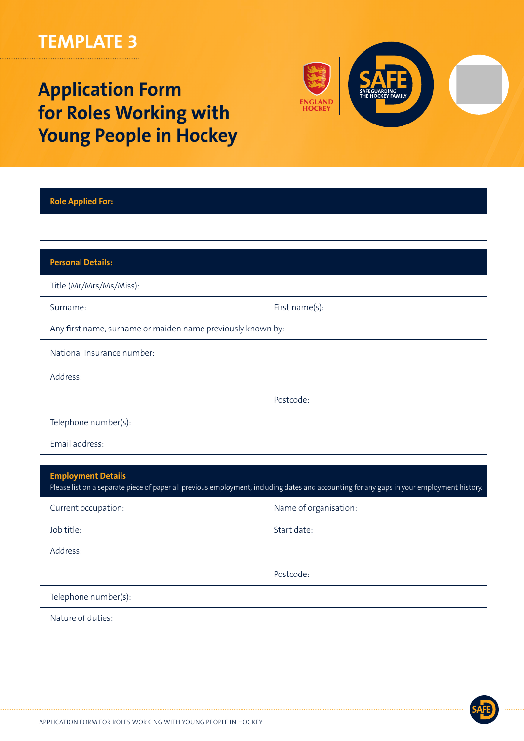# **TEMPLATE 3**

# **Application Form for Roles Working with Young People in Hockey**



| <b>Role Applied For:</b>                                    |                |
|-------------------------------------------------------------|----------------|
|                                                             |                |
| <b>Personal Details:</b>                                    |                |
| Title (Mr/Mrs/Ms/Miss):                                     |                |
| Surname:                                                    | First name(s): |
| Any first name, surname or maiden name previously known by: |                |
| National Insurance number:                                  |                |
| Address:                                                    |                |
|                                                             | Postcode:      |
| Telephone number(s):                                        |                |
| Email address:                                              |                |

| <b>Employment Details</b><br>Please list on a separate piece of paper all previous employment, including dates and accounting for any gaps in your employment history. |                       |  |
|------------------------------------------------------------------------------------------------------------------------------------------------------------------------|-----------------------|--|
| Current occupation:                                                                                                                                                    | Name of organisation: |  |
| Job title:                                                                                                                                                             | Start date:           |  |
| Address:                                                                                                                                                               |                       |  |
|                                                                                                                                                                        | Postcode:             |  |
| Telephone number(s):                                                                                                                                                   |                       |  |
| Nature of duties:                                                                                                                                                      |                       |  |
|                                                                                                                                                                        |                       |  |
|                                                                                                                                                                        |                       |  |
|                                                                                                                                                                        |                       |  |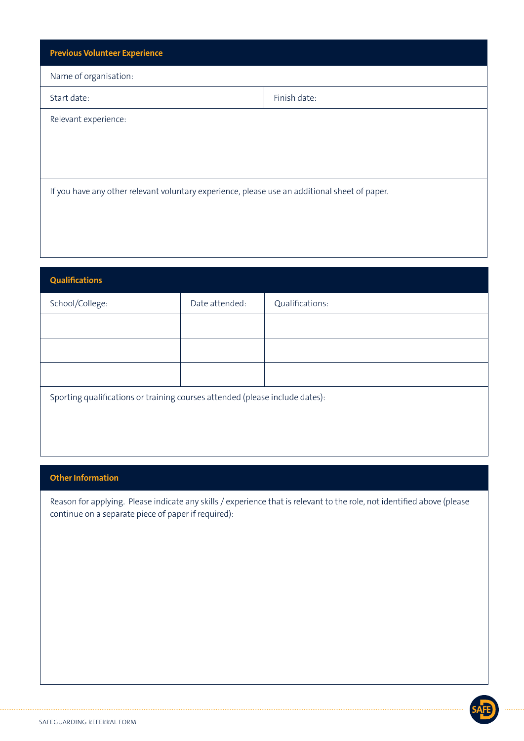| <b>Previous Volunteer Experience</b>                                                          |              |
|-----------------------------------------------------------------------------------------------|--------------|
| Name of organisation:                                                                         |              |
| Start date:                                                                                   | Finish date: |
| Relevant experience:                                                                          |              |
|                                                                                               |              |
|                                                                                               |              |
| If you have any other relevant voluntary experience, please use an additional sheet of paper. |              |

| <b>Qualifications</b>                                                        |                |                 |
|------------------------------------------------------------------------------|----------------|-----------------|
| School/College:                                                              | Date attended: | Qualifications: |
|                                                                              |                |                 |
|                                                                              |                |                 |
|                                                                              |                |                 |
| Sporting qualifications or training courses attended (please include dates): |                |                 |

## **Other Information**

Reason for applying. Please indicate any skills / experience that is relevant to the role, not identified above (please continue on a separate piece of paper if required):